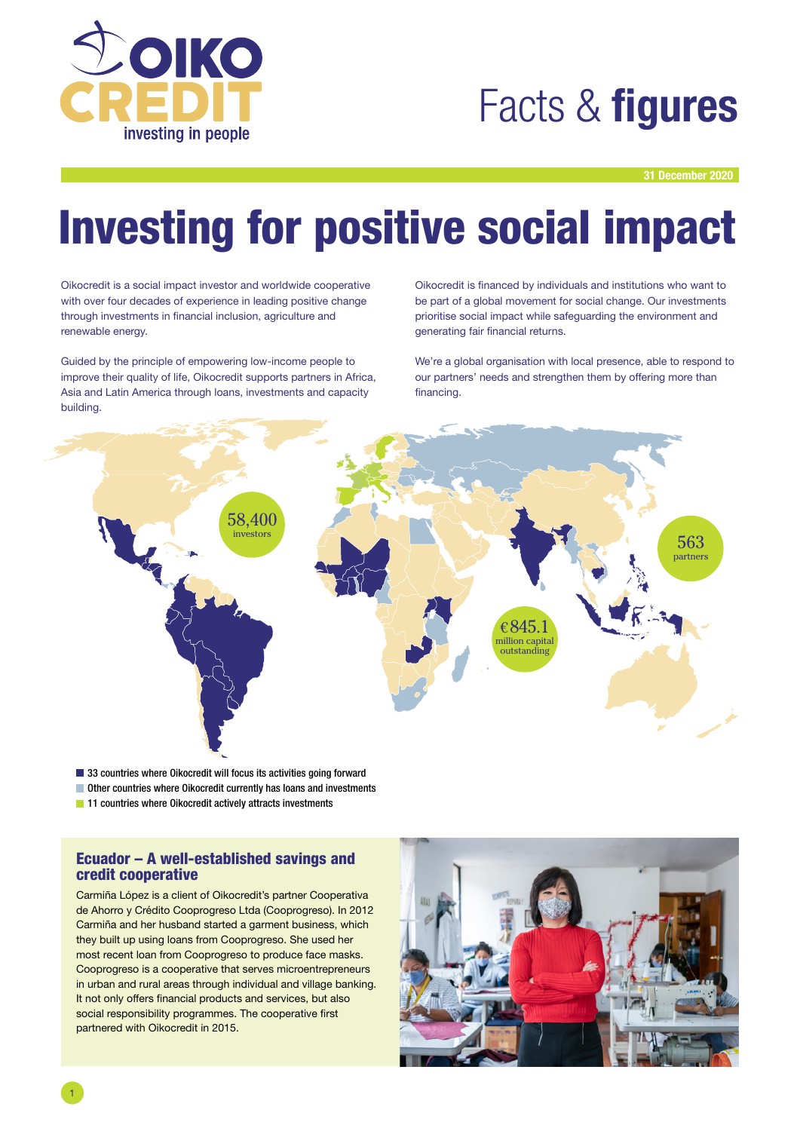

## Facts & **figures**

31 December 2020

# Investing for positive social impact

Oikocredit is a social impact investor and worldwide cooperative with over four decades of experience in leading positive change through investments in financial inclusion, agriculture and renewable energy.

Guided by the principle of empowering low-income people to improve their quality of life, Oikocredit supports partners in Africa, Asia and Latin America through loans, investments and capacity building.

Oikocredit is financed by individuals and institutions who want to be part of a global movement for social change. Our investments prioritise social impact while safeguarding the environment and generating fair financial returns.

We're a global organisation with local presence, able to respond to our partners' needs and strengthen them by offering more than financing.



■ 33 countries where Oikocredit will focus its activities going forward

- Other countries where Oikocredit currently has loans and investments
- **11** countries where Oikocredit actively attracts investments

#### Ecuador – A well-established savings and credit cooperative

Carmiña López is a client of Oikocredit's partner Cooperativa de Ahorro y Crédito Cooprogreso Ltda (Cooprogreso). In 2012 Carmiña and her husband started a garment business, which they built up using loans from Cooprogreso. She used her most recent loan from Cooprogreso to produce face masks. Cooprogreso is a cooperative that serves microentrepreneurs in urban and rural areas through individual and village banking. It not only offers financial products and services, but also social responsibility programmes. The cooperative first partnered with Oikocredit in 2015.

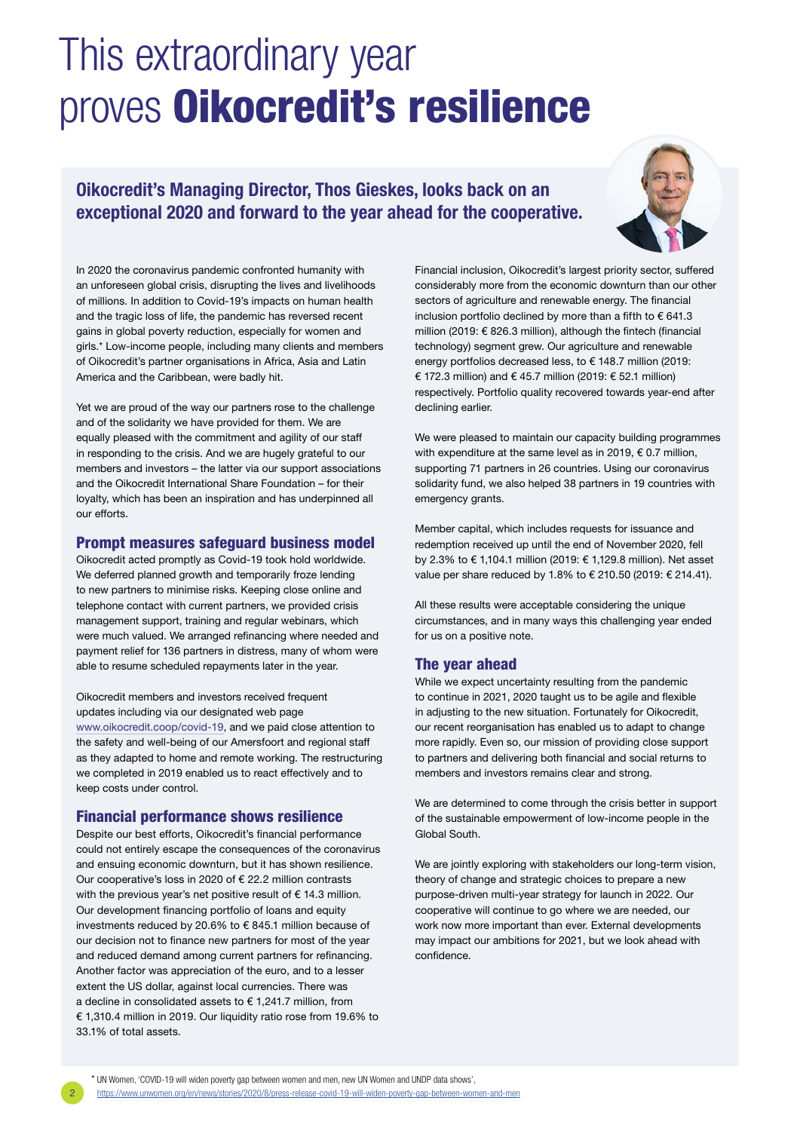## This extraordinary year proves Oikocredit's resilience

### Oikocredit's Managing Director, Thos Gieskes, looks back on an exceptional 2020 and forward to the year ahead for the cooperative.



In 2020 the coronavirus pandemic confronted humanity with an unforeseen global crisis, disrupting the lives and livelihoods of millions. In addition to Covid-19's impacts on human health and the tragic loss of life, the pandemic has reversed recent gains in global poverty reduction, especially for women and girls.\* Low-income people, including many clients and members of Oikocredit's partner organisations in Africa, Asia and Latin America and the Caribbean, were badly hit.

Yet we are proud of the way our partners rose to the challenge and of the solidarity we have provided for them. We are equally pleased with the commitment and agility of our staff in responding to the crisis. And we are hugely grateful to our members and investors – the latter via our support associations and the Oikocredit International Share Foundation – for their loyalty, which has been an inspiration and has underpinned all our efforts.

#### Prompt measures safeguard business model

Oikocredit acted promptly as Covid-19 took hold worldwide. We deferred planned growth and temporarily froze lending to new partners to minimise risks. Keeping close online and telephone contact with current partners, we provided crisis management support, training and regular webinars, which were much valued. We arranged refinancing where needed and payment relief for 136 partners in distress, many of whom were able to resume scheduled repayments later in the year.

Oikocredit members and investors received frequent updates including via our designated web page [www.oikocredit.coop/covid-19](http://www.oikocredit.coop/covid-19), and we paid close attention to the safety and well-being of our Amersfoort and regional staff as they adapted to home and remote working. The restructuring we completed in 2019 enabled us to react effectively and to keep costs under control.

#### Financial performance shows resilience

Despite our best efforts, Oikocredit's financial performance could not entirely escape the consequences of the coronavirus and ensuing economic downturn, but it has shown resilience. Our cooperative's loss in 2020 of € 22.2 million contrasts with the previous year's net positive result of € 14.3 million. Our development financing portfolio of loans and equity investments reduced by 20.6% to € 845.1 million because of our decision not to finance new partners for most of the year and reduced demand among current partners for refinancing. Another factor was appreciation of the euro, and to a lesser extent the US dollar, against local currencies. There was a decline in consolidated assets to  $\epsilon$  1,241.7 million, from € 1,310.4 million in 2019. Our liquidity ratio rose from 19.6% to 33.1% of total assets.

Financial inclusion, Oikocredit's largest priority sector, suffered considerably more from the economic downturn than our other sectors of agriculture and renewable energy. The financial inclusion portfolio declined by more than a fifth to  $\epsilon$  641.3 million (2019: € 826.3 million), although the fintech (financial technology) segment grew. Our agriculture and renewable energy portfolios decreased less, to € 148.7 million (2019: € 172.3 million) and € 45.7 million (2019: € 52.1 million) respectively. Portfolio quality recovered towards year-end after declining earlier.

We were pleased to maintain our capacity building programmes with expenditure at the same level as in 2019, € 0.7 million, supporting 71 partners in 26 countries. Using our coronavirus solidarity fund, we also helped 38 partners in 19 countries with emergency grants.

Member capital, which includes requests for issuance and redemption received up until the end of November 2020, fell by 2.3% to € 1,104.1 million (2019: € 1,129.8 million). Net asset value per share reduced by 1.8% to € 210.50 (2019: € 214.41).

All these results were acceptable considering the unique circumstances, and in many ways this challenging year ended for us on a positive note.

#### The year ahead

While we expect uncertainty resulting from the pandemic to continue in 2021, 2020 taught us to be agile and flexible in adjusting to the new situation. Fortunately for Oikocredit, our recent reorganisation has enabled us to adapt to change more rapidly. Even so, our mission of providing close support to partners and delivering both financial and social returns to members and investors remains clear and strong.

We are determined to come through the crisis better in support of the sustainable empowerment of low-income people in the Global South.

We are jointly exploring with stakeholders our long-term vision, theory of change and strategic choices to prepare a new purpose-driven multi-year strategy for launch in 2022. Our cooperative will continue to go where we are needed, our work now more important than ever. External developments may impact our ambitions for 2021, but we look ahead with confidence.

2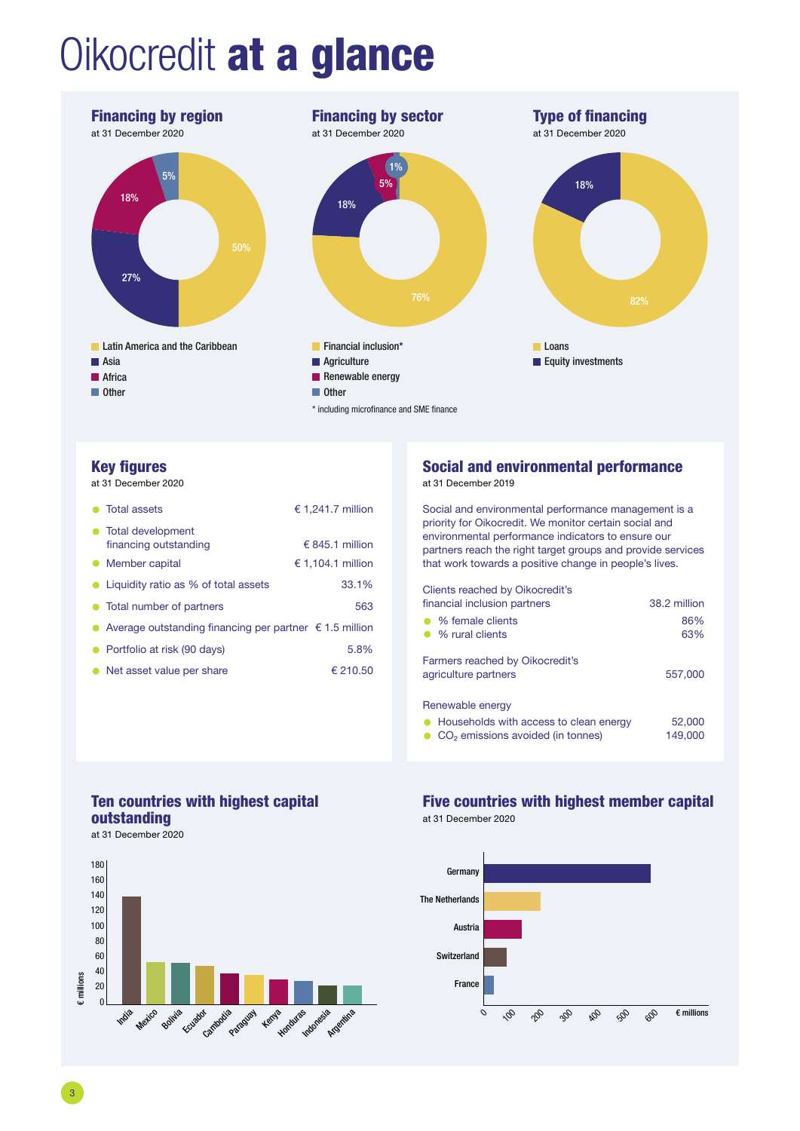# Oikocredit at a glance



#### Key figures

at 31 December 2020

| Total assets                                                                  | € 1,241.7 million |  |  |  |  |  |
|-------------------------------------------------------------------------------|-------------------|--|--|--|--|--|
| • Total development<br>financing outstanding                                  | € 845.1 million   |  |  |  |  |  |
| Member capital<br>$\bullet$                                                   | € 1,104.1 million |  |  |  |  |  |
| Liquidity ratio as % of total assets                                          | 33.1%             |  |  |  |  |  |
| • Total number of partners                                                    | 563               |  |  |  |  |  |
| Average outstanding financing per partner $\epsilon$ 1.5 million<br>$\bullet$ |                   |  |  |  |  |  |
| Portfolio at risk (90 days)<br>$\bullet$                                      | 5.8%              |  |  |  |  |  |
| • Net asset value per share                                                   | € 210.50          |  |  |  |  |  |

### Social and environmental performance

at 31 December 2019

Social and environmental performance management is a priority for Oikocredit. We monitor certain social and environmental performance indicators to ensure our partners reach the right target groups and provide services that work towards a positive change in people's lives.

Clients reached by Oikocredit's financial inclusion partners 38.2 million • % female clients 86% • % rural clients Farmers reached by Oikocredit's agriculture partners 557,000 Renewable energy

• Households with access to clean energy 52,000<br>• CO<sub>2</sub> emissions avoided (in tonnes) 149,000 • CO<sub>2</sub> emissions avoided (in tonnes)

### Ten countries with highest capital outstanding

at 31 December 2020



### Five countries with highest member capital

at 31 December 2020